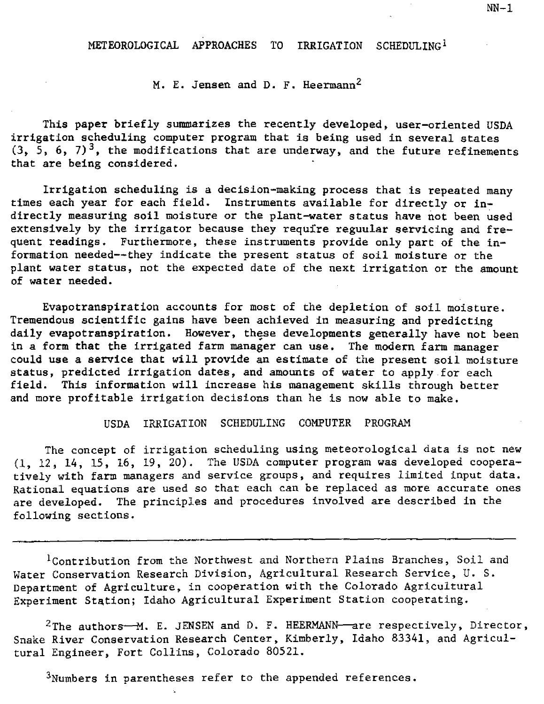M. E. Jensen and D. F. Heermann 2

This paper briefly summarizes the recently developed, user-oriented USDA irrigation scheduling computer program that is being used in several states  $(3, 5, 6, 7)^3$ , the modifications that are underway, and the future refinements that are being considered.

Irrigation scheduling is a decision-making process that is repeated many times each year for each field. Instruments available for directly or indirectly measuring soil moisture or the plant-water status have not been used extensively by the irrigator because they require reguular servicing and frequent readings. Furthermore, these instruments provide only part of the information needed--they indicate the present status of soil moisture or the plant water status, not the expected date of the next irrigation or the amount of water needed.

Evapotranspiration accounts for most of the depletion of soil moisture. Tremendous scientific gains have been achieved in measuring and predicting daily evapotranspiration. However, these developments generally have not been in a form that the irrigated farm manager can use. The modern farm manager could use a service that will provide an estimate of the present soil moisture status, predicted irrigation dates, and amounts of water to apply for each field. This information will increase his management skills through better and more profitable irrigation decisions than he is now able to make.

# USDA IRRIGATION SCHEDULING COMPUTER PROGRAM

The concept of irrigation scheduling using meteorological data is not new (1, 12, 14, 15, 16, 19, 20). The USDA computer program was developed cooperatively with farm managers and service groups, and requires limited input data. Rational equations are used so that each can be replaced as more accurate ones are developed. The principles and procedures involved are described in the following sections.

1Contribution from the Northwest and Northern Plains Branches, Soil and Water Conservation Research Division, Agricultural Research Service, U. S. Department of Agriculture, in cooperation with the Colorado Agricultural Experiment Station; Idaho Agricultural Experiment Station cooperating.

<sup>2</sup>The authors- $M$ . E. JENSEN and D. F. HEERMANN-are respectively, Director, Snake River Conservation Research Center, Kimberly, Idaho 83341, and Agricultural Engineer, Fort Collins, Colorado 80521.

 $3$ Numbers in parentheses refer to the appended references.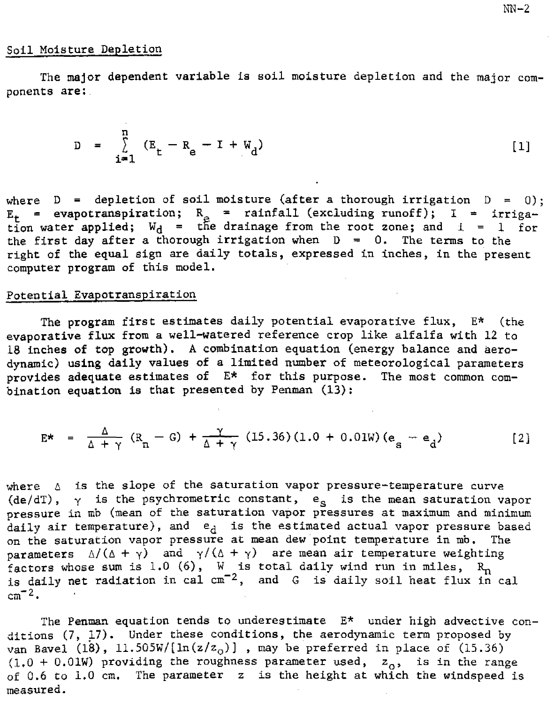## Soil Moisture Depletion

The major dependent variable is soil moisture depletion and the major components are:

$$
D = \sum_{i=1}^{n} (E_{t} - R_{e} - I + W_{d})
$$
 [1]

where  $D =$  depletion of soil moisture (after a thorough irrigation  $D = 0$ ):  $E_t$  = evapotranspiration;  $R_a$  = rainfall (excluding runoff); I = irrigation water applied;  $W_d$  = the drainage from the root zone; and  $i = 1$  for the first day after a thorough irrigation when  $D = 0$ . The terms to the right of the equal sign are daily totals, expressed in inches, in the present computer program of this model.

# Potential Evapotranspiration

The program first estimates daily potential evaporative flux, E\* (the evaporative flux from a well-watered reference crop like alfalfa with 12 to 18 inches of top growth). A combination equation (energy balance and aerodynamic) using daily values of a limited number of meteorological parameters provides adequate estimates of E\* for this purpose. The most common combination equation is that presented by Penman (13):

$$
E^* = \frac{\Delta}{\Delta + \gamma} (R_n - G) + \frac{\gamma}{\Delta + \gamma} (15.36)(1.0 + 0.01W) (e_s - e_d)
$$
 [2]

where  $\Delta$  is the slope of the saturation vapor pressure-temperature curve (de/dT),  $\gamma$  is the psychrometric constant,  $e_{\rm s}$  is the mean saturation vapor pressure in mb (mean of the saturation vapor pressures at maximum and minimum  $d$ aily air temperature), and  $e_A$  is the estimated actual vapor pressure based on the saturation vapor pressure at mean dew point temperature in mb. The parameters  $\Delta/(\Delta + \gamma)$  and  $\gamma/(\Delta + \gamma)$  are mean air temperature weighting factors whose sum is 1.0 (6), W is total daily wind run in miles,  $\, {\rm R}_{\rm n} \,$ is daily net radiation in cal  $\mathtt{cm^{-2}},$  and  $\mathtt{G}$  is daily soil heat flux in cal  $cm<sup>-2</sup>$ .

The Penman equation tends to underestimate  $E^*$  under high advective conditions (7, 17). Under these conditions, the aerodynamic term proposed by van Bavel (18), 11.505W/[ln(z/z<sub>0</sub>)], may be preferred in place of (15.36)<br>(1.0 + 0.01W) providing the roughness parameter used, z<sub>0</sub>, is in the range  $(1.0 + 0.01W)$  providing the roughness parameter used, of 0.6 to 1.0 cm. The parameter  $z$  is the height at which the windspeed is measured.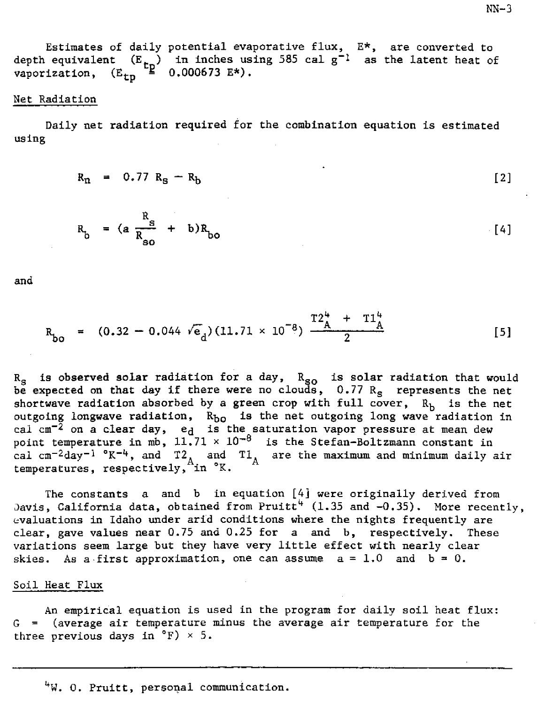Estimates of daily potential evaporative flux,  $E^*$ , are converted to depth equivalent  $(E_{t_n})$  in inches using 585 cal g<sup>-1</sup> as the latent heat of vaporization,  $(E_{t_n} \triangleq 0.000673 E^*)$ . vaporization,  $(E_{tn})$ 

### Net Radiation

Daily net radiation required for the combination equation is estimated using

$$
R_{n} = 0.77 R_{s} - R_{b} \qquad [2]
$$

$$
R_b = (a \frac{R_s}{R_{so}} + b)R_{bo}
$$
 [4]

and

$$
R_{bo} = (0.32 - 0.044 \sqrt{e}_d)(11.71 \times 10^{-8}) \frac{T2_A^4 + T1_A^4}{2}
$$
 [5]

R<sub>s</sub> is observed solar radiation for a day, R<sub>so</sub> is solar radiation that would be expected on that day if there were no clouds,  $0.77 R<sub>s</sub>$  represents the net shortwave radiation absorbed by a green crop with full cover,  $R_h$  is the net outgoing longwave radiation,  $R_{b0}$  is the net outgoing long wave radiation in cal cm<sup>-2</sup> on a c<mark>lear day, e<sub>d</sub> is the saturation vapor pressure at mean dew</mark><br>point temp<mark>erature in mb, 11.71 × 10<sup>-8</sup> is the Stefan-Boltzmann constant in</mark> cal cm<sup>-2</sup>day<sup>-1</sup> °K<sup>-4</sup>, and T2<sub>A</sub> and T1<sub>A</sub> are the maximum and minimum daily air<br>temperatures, respectively, in °K.

The constants a and b in equation [4] were originally derived from Davis, California data, obtained from Pruitt<sup>4</sup> (1.35 and -0.35). More recently, evaluations in Idaho under arid conditions *where* the nights frequently are clear, gave values near 0.75 and 0.25 for a and b, respectively. These variations seem large but they have very little effect with nearly clear skies. As a first approximation, one can assume  $a = 1.0$  and  $b = 0$ .

## Soil Heat Flux

An empirical equation is used in the program for daily soil heat flux: G = (average air temperature minus the average air temperature for the three previous days in  ${}^{\circ}$ F)  $\times$  5.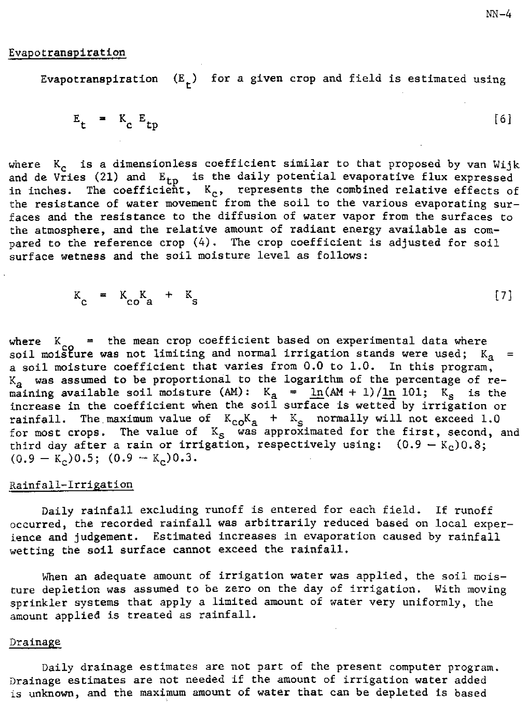Evapotranspiration  $(E_{\mu})$  for a given crop and field is estimated using

$$
E_{t} = K_{c} E_{tp}
$$
 [6]

where  $K_c$  is a dimensionless coefficient similar to that proposed by van Wijk and de Vries (21) and  $E_{tp}$  is the daily potential evaporative flux expressed in inches. The coefficient,  $K_{c}$ , represents the combined relative effects of the resistance of water movement from the soil to the various evaporating surfaces and the resistance to the diffusion of water vapor from the surfaces to the atmosphere, and the relative amount of radiant energy available as compared to the reference crop (4). The crop coefficient is adjusted for soil surface wetness and the soil moisture level as follows:

$$
K_c = K_{c0}K_a + K_s
$$
 [7]

where  $K_{\rm co}$  = the mean crop coefficient based on experimental data where soil moisture was not limiting and normal irrigation stands were used; K<sub>a</sub> = a soil moisture coefficient that varies from 0.0 to 1.0. In this program,  $K_a$  was assumed to be proportional to the logarithm of the percentage of remaining available soil moisture (AM):  $K_a$  =  $\ln(AM + 1)/\ln 101$ ;  $K_s$  is the increase in the coefficient when the soil surface is wetted by irrigation or rainfall. The maximum value of  $K_{co}K_{a}$  +  $K_{c}$  normally will not exceed 1.0 for most crops. The value of  $\text{ K} _{\text{S}}$  was approximated for the first, second, and third day after a rain or irrigation, respectively using:  $(0.9 - K<sub>c</sub>)0.8$ ;  $(0.9 - K_c)0.5$ ;  $(0.9 - K_c)0.3$ .

## Rainfall-Irrigation

Daily rainfall excluding runoff is entered for each field. If runoff occurred, the recorded rainfall was arbitrarily reduced based on local experience and judgement. Estimated increases in evaporation caused by rainfall wetting the soil surface cannot exceed the rainfall.

When an adequate amount of irrigation water was applied, the soil moisture depletion was assumed to be zero on the day of irrigation. With moving sprinkler systems that apply a limited amount of water very uniformly, the amount applied is treated as rainfall.

## Drainage

Daily drainage estimates are not part of the present computer program. Drainage estimates are not needed if the amount of irrigation water added is unknown, and the maximum amount of water that can be depleted is based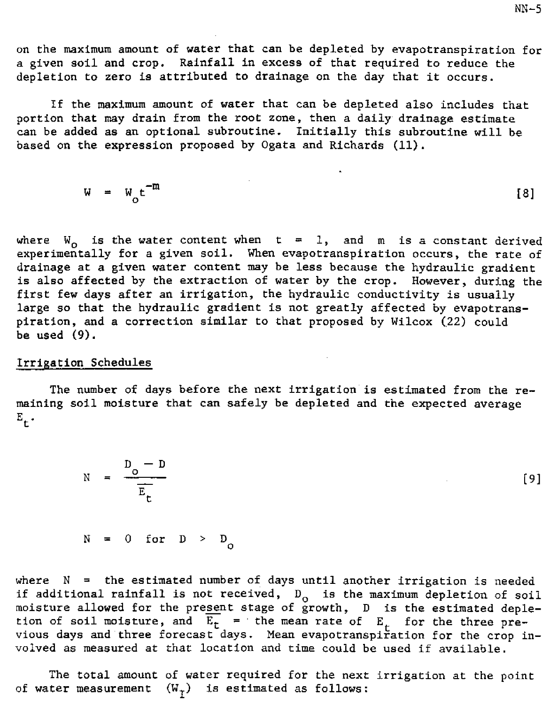on the maximum amount of water that can be depleted by evapotranspiration for a given soil and crop. Rainfall in excess of that required to reduce the depletion to zero is attributed to drainage on the day that it occurs.

If the maximum amount of water that can be depleted also includes that portion that may drain from the root zone, then a daily drainage estimate can be added as an optional subroutine. Initially this subroutine will be based on the expression proposed by Ogata and Richards (11).

$$
W = W_0 t^{-m}
$$
 [8]

where  $W_{0}$  is the water content when  $t = 1$ , and  $m$  is a constant derived experimentally for a given soil. When evapotranspiration occurs, the rate  $_{\odot}$ drainage at a given water content may be less because the hydraulic gradient is also affected by the extraction of water by the crop. However, during the first few days after an irrigation, the hydraulic conductivity is usually large so that the hydraulic gradient is not greatly affected by evapotranspiration, and a correction similar to that proposed by Wilcox (22) could be used (9).

## Irrigation Schedules

The number of days before the next irrigation is estimated from the remaining soil moisture that can safely be depleted and the expected average  $E_{+}$ .

$$
N = \frac{D_o - D}{E_t}
$$
 (9)

 $N = 0$  for  $D > D_0$ 

where  $N =$  the estimated number of days until another irrigation is needed if additional rainfall is not received,  $D^0$  is the maximum depletion of soil moisture allowed for the present stage of growth, D is the estimated depletion of soil moisture, and  $\overline{E_t}$  = the mean rate of  $E_t$  for the three previous days and three forecast days. Mean evapotranspiration for the crop involved as measured at that location and time could be used if available.

The total amount of water required for the next irrigation at the point of water measurement  $(W_T)$  is estimated as follows: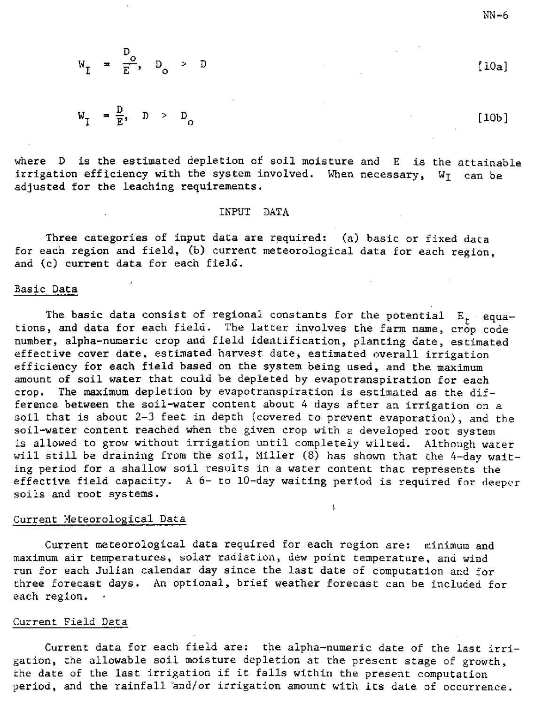$$
W_{\underline{I}} = \frac{D_o}{E}, \quad D_o > D
$$

$$
W_{\overline{L}} = \frac{D}{E}, \quad D > D_{\overline{O}}
$$

where D is the estimated depletion of soil moisture and E is the attainable irrigation efficiency with the system involved. When necessary,  $W_I$  can be adjusted for the leaching requirements.

### INPUT DATA

Three categories of input data are required: (a) basic or fixed data for each region and field, (b) current meteorological data for each region, and (c) current data for each field.

## Basic Data

The basic data consist of regional constants for the potential  $E_t + equa$ tions, and data for each field. The latter involves the farm name, crop code number, alpha-numeric crop and field identification, planting date, estimated effective cover date, estimated harvest date, estimated overall irrigation efficiency for each field based on the system being used, and the maximum amount of soil water that could be depleted by evapotranspiration for each crop. The maximum depletion by evapotranspiration is estimated as the difference between the soil-water content about 4 days after an irrigation on a soil that is about 2-3 feet in depth (covered to prevent evaporation), and the soil-water content reached when the given crop with a developed root system is allowed to grow without irrigation until completely wilted. Although water will still be draining from the soil, Miller (8) has shown that the 4-day waiting period for a shallow soil results in a water content that represents the effective field capacity. A 6- to 10-day waiting period is required for deeper soils and root systems.

#### Current Meteorological Data

Current meteorological data required for each region are: minimum and maximum air temperatures, solar radiation, dew point temperature, and wind run for each Julian calendar day since the last date of computation and for three forecast days. An optional, brief weather forecast can be included for each region.

### Current Field Data

Current data for each field are: the alpha-numeric date of the last irrigation, the allowable soil moisture depletion at the present stage of growth, the date of the last irrigation if it falls within the present computation period, and the rainfall 'and/or irrigation amount with its date of occurrence.

 $[10a]$ 

[10b]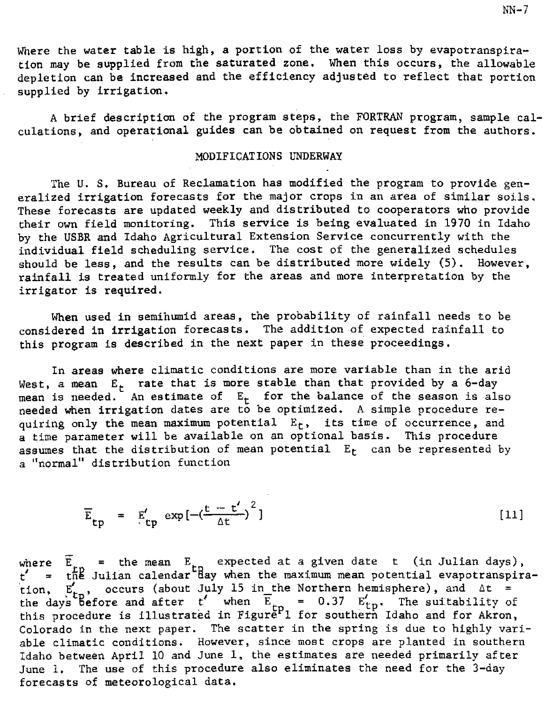Where the water table is high, a portion of the water loss by evapotranspiration may be supplied from the saturated zone. When this occurs, the allowable depletion can be increased and the efficiency adjusted to reflect that portion supplied by irrigation.

A brief description of the program steps, the FORTRAN program, sample calculations, and operational guides can be obtained on request from the authors.

## MODIFICATIONS UNDERWAY

The U. S. Bureau of Reclamation has modified the program to provide generalized irrigation forecasts for the major crops in an area of similar soils. These forecasts are updated weekly and distributed to cooperators who provide their own field monitoring. This service is being evaluated in 1970 in Idaho by the USER and Idaho Agricultural Extension Service concurrently with the individual field scheduling service. The cost of the generalized schedules should be less, and the results can be distributed more widely (5). However, rainfall is treated uniformly for the areas and more interpretation by the irrigator is required.

When used in semihumid areas, the probability of rainfall needs to be considered in irrigation forecasts. The addition of expected rainfall to this program is described in the next paper in these proceedings.

In areas where climatic conditions are more variable than in the arid West, a mean  $E_t$  rate that is more stable than that provided by a 6-day mean is needed. An estimate of  $E_t$  for the balance of the season is also  $\frac{1}{2}$ needed when irrigation dates are to be optimized. A simple procedure requiring only the mean maximum potential  $E_t$ , its time of occurrence, and a time parameter will be available on an optional basis. This procedure assumes that the distribution of mean potential  $E_t$  can be represented by a "normal" distribution function

$$
\overline{E}_{tp} = \mathbb{E}'_{tp} \exp\left[-\left(\frac{t - t'}{\Delta t}\right)^2\right]
$$
 [11]

where  $\widetilde{E}_{\rm r}$  = the mean  $E_{\rm r}$  expected at a given date t (in Julian days),<br> $t'$  = the Julian calendar day when the maximum mean potential evanotranspire where  $E_{1D} =$  the mean  $E_{1D}$  expected at a given date I (in Julian days),<br>t' = the Julian calendar day when the maximum mean potential evapotranspiration,  $E_{\text{th}}'$ , occurs (about July 15 in the Northern hemisphere), and  $\Delta t =$ tion,  $E_{tp}$ , occurs (about July 15 in the Northern hemisphere), and  $\Delta t =$ <br>the days before and after t' when  $E_{tp} = 0.37$   $E'_{tp}$ . The suitability of this procedure is illustrated in Figure<sup>p</sup>1 for southern Idaho and for Akron, Colorado in the next paper. The scatter in the spring is due to highly variable climatic conditions. However, since most crops are planted in southern Idaho between April 10 and June 1, the estimates are needed primarily after June 1. The use of this procedure also eliminates the need for the 3-day forecasts of meteorological data.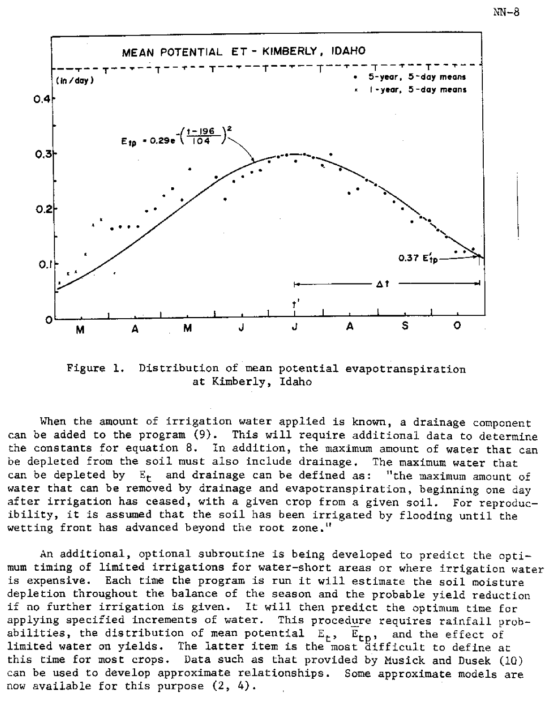

Figure 1. Distribution of **mean** potential evapotranspiration at Kimberly, Idaho

When the amount of irrigation water applied is known, a drainage component can be added to the program (9). This will require additional data to determine the constants for equation 8. In addition, the maximum amount of water that can be depleted from the soil must also include drainage. The maximum water that can be depleted by  $E_t$  and drainage can be defined as: "the maximum amount of water that can be removed by drainage and evapotranspiration, beginning one day after irrigation has ceased, with a given crop from a given soil. For reproducibility, it is assumed that the soil has been irrigated by flooding until the wetting front has advanced beyond the root zone."

An additional, optional subroutine is being developed to predict the optimum timing of limited irrigations for water-short areas or where irrigation water is expensive. Each time the program is run it will estimate the soil moisture depletion throughout the balance of the season and the probable yield reduction if no further irrigation is given. It will then predict the optimum time for applying specified increments of water. This procedure requires rainfall probabilities, the distribution of mean potential  $E_t$ ,  $E_{tn}$ , and the effect of limited water on yields. The latter item is the most difficult to define at this time for most crops. Data such as that provided by Musick and Dusek (10) can be used to develop approximate relationships. Some approximate models are now available for this purpose (2, 4).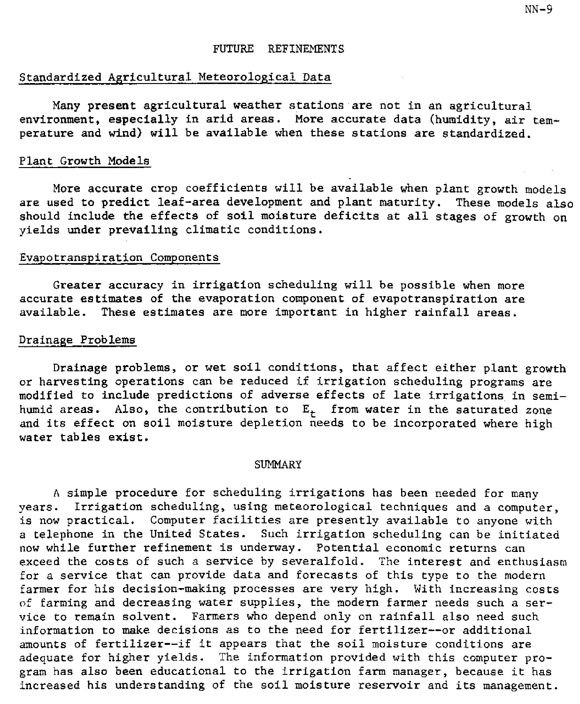# Standardized Agricultural Meteorological Data

Many present agricultural weather stations are not in an agricultural environment, especially in arid areas. More accurate data (humidity, air temperature and wind) will be available when these stations are standardized.

## Plant Growth Models

More accurate crop coefficients will be available when plant growth models are used to predict leaf-area development and plant maturity. These models also should include the effects of soil moisture deficits at all stages of growth on yields under prevailing climatic conditions.

## Evapotranspiration Components

Greater accuracy in irrigation scheduling will be possible when more accurate estimates of the evaporation component of evapotranspiration are available. These estimates are more important in higher rainfall areas.

## Drainage Problems

Drainage problems, or wet soil conditions, that affect either plant growth or harvesting operations can be reduced if irrigation scheduling programs are modified to include predictions of adverse effects of late irrigations in semihumid areas. Also, the contribution to  $E_t$  from water in the saturated zone and its effect on soil moisture depletion needs to be incorporated where high water tables exist.

### **SUMMARY**

A simple procedure for scheduling irrigations has been needed for many years. Irrigation scheduling, using meteorological techniques and a computer, is now practical. Computer facilities are presently available to anyone with a telephone in the United States. Such irrigation scheduling can be initiated now while further refinement is underway. Potential economic returns can exceed the costs of such a service by severalfold. The interest and enthusiasm for a service that can provide data and forecasts of this type to the modern farmer for his decision-making processes are very high. With increasing costs of farming and decreasing water supplies, the modern farmer needs such a service to remain solvent. Farmers who depend only on rainfall also need such information to make decisions as to the need for fertilizer--or additional amounts of fertilizer--if it appears that the soil moisture conditions are adequate for higher yields. The information provided with this computer program has also been educational to the irrigation farm manager, because it has increased his understanding of the soil moisture reservoir and its management.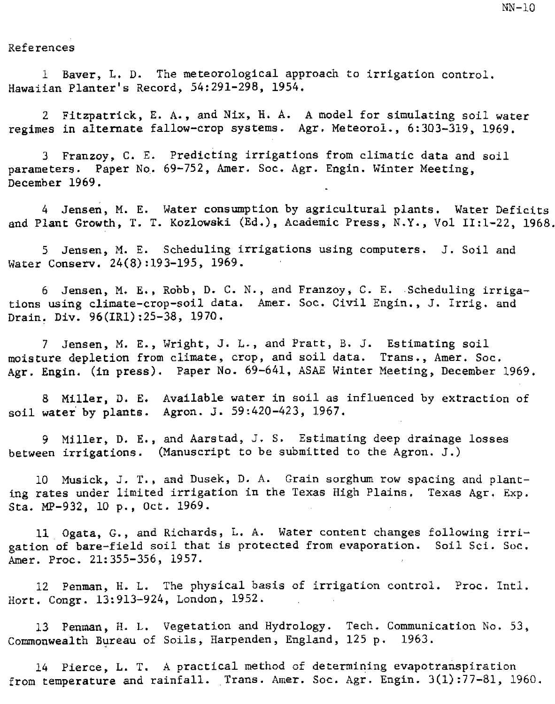### References

Bayer, L. D. The meteorological approach to irrigation control. Hawaiian Planter's Record, 54:291-298, 1954.

2 Fitzpatrick, E. A., and Nix, H. A. A model for simulating soil water regimes in alternate fallow-crop systems. Agr. Meteorol., 6:303-319, 1969.

3 Franzoy, C. E. Predicting irrigations from climatic data and soil parameters. Paper No. 69-752, Amer. Soc. Agr. Engin. Winter Meeting, December 1969.

4 Jensen, M. E. Water consumption by agricultural plants. Water Deficits and Plant Growth, T. T. Kozlowski (Ed.), Academic Press, N.Y., Vol 11:1-22, 1968.

5 Jensen, M. E. Scheduling irrigations using computers. J. Soil and Water Conserv. 24(8):193-195, 1969.

6 Jensen, M. E., Robb, D. C. N., and Franzoy, C. E. Scheduling irrigations using climate-crop-soil data. Amer. Soc. Civil Engin., J. Irrig. and Drain. Div. 96(1R1):25-38, 1970.

7 Jensen, M. E., Wright, J. L., and Pratt, B. J. Estimating soil moisture depletion from climate, crop, and soil data. Trans., Amer. Soc. Agr. Engin. (in press). Paper No. 69-641, ASAE Winter Meeting, December 1969.

8 Miller, D. E. Available water in soil as influenced by extraction of soil water by plants. Agron. J. 59:420-423, 1967.

9 Miller, D. E., and Aarstad, J. S. Estimating deep drainage losses between irrigations. (Manuscript to be submitted to the Agron. J.)

10 Musick, J. T., and Dusek, D. A. Grain sorghum row spacing and planting rates under limited irrigation in the Texas High Plains. Texas Agr. Exp. Sta. MP-932, 10 p., Oct. 1969.

11 Ogata, G., and Richards, L. A. Water content changes following irrigation of bare-field soil that is protected from evaporation. Soil Sci. Soc. Amer. Proc. 21:355-356, 1957.

12 Penman, H. L. The physical basis of irrigation control. Proc. Intl. Hort. Congr. 13:913-924, London, 1952.

13 Penman, H. L. Vegetation and Hydrology. Tech. Communication No. 53, Commonwealth Bureau of Soils, Harpenden, England, 125 p. 1963.

14 Pierce, L. T. A practical method of determining evapotranspiration from temperature and rainfall. Trans. Amer. Soc. Agr. Engin. 3(1):77-81, 1960.